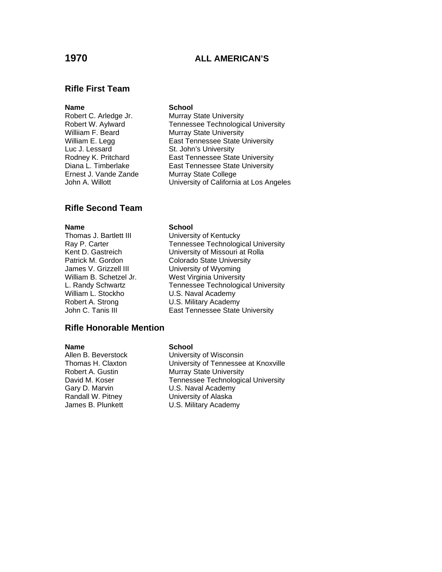# **1970 ALL AMERICAN'S**

### **Rifle First Team**

## **Name** School

Luc J. Lessard St. John's University Ernest J. Vande Zande Murray State College

Robert C. Arledge Jr. Murray State University Robert W. Aylward Tennessee Technological University Williiam F. Beard Murray State University William E. Legg East Tennessee State University Rodney K. Pritchard East Tennessee State University Diana L. Timberlake **East Tennessee State University** John A. Willott **University of California at Los Angeles** 

### **Rifle Second Team**

James V. Grizzell III University of Wyoming William L. Stockho **C. S. U.S. Naval Academy**<br>Robert A. Strong **C. D. S. Military Academ** 

### **Name** School

Thomas J. Bartlett III **University of Kentucky** Ray P. Carter Tennessee Technological University Kent D. Gastreich University of Missouri at Rolla Patrick M. Gordon Colorado State University William B. Schetzel Jr. West Virginia University L. Randy Schwartz **Tennessee Technological University**<br>
William L. Stockho **C. L. S. Naval Academy** U.S. Military Academy John C. Tanis III **East Tennessee State University** 

### **Rifle Honorable Mention**

Randall W. Pitney **Nationall W. Pitney Communist Contains U.S. Military Academ**<br>James B. Plunkett **National U.S. Military Academ** 

### **Name** School

Allen B. Beverstock University of Wisconsin Thomas H. Claxton University of Tennessee at Knoxville Robert A. Gustin Murray State University David M. Koser Tennessee Technological University Gary D. Marvin **U.S. Naval Academy** U.S. Military Academy